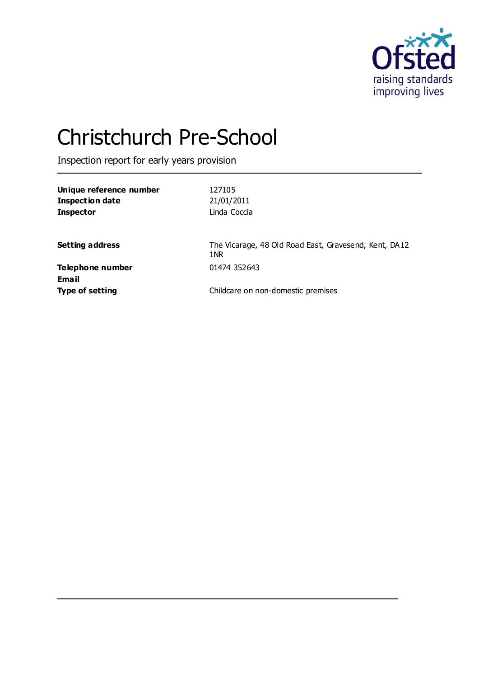

# Christchurch Pre-School

Inspection report for early years provision

| Unique reference number | 127105                                                       |
|-------------------------|--------------------------------------------------------------|
| <b>Inspection date</b>  | 21/01/2011                                                   |
| <b>Inspector</b>        | Linda Coccia                                                 |
|                         |                                                              |
| <b>Setting address</b>  | The Vicarage, 48 Old Road East, Gravesend, Kent, DA12<br>1NR |
| Telephone number        | 01474 352643                                                 |
| <b>Email</b>            |                                                              |
| <b>Type of setting</b>  | Childcare on non-domestic premises                           |
|                         |                                                              |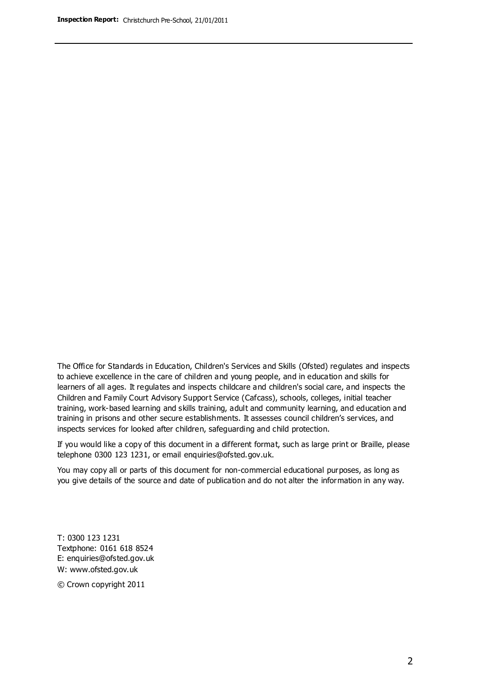The Office for Standards in Education, Children's Services and Skills (Ofsted) regulates and inspects to achieve excellence in the care of children and young people, and in education and skills for learners of all ages. It regulates and inspects childcare and children's social care, and inspects the Children and Family Court Advisory Support Service (Cafcass), schools, colleges, initial teacher training, work-based learning and skills training, adult and community learning, and education and training in prisons and other secure establishments. It assesses council children's services, and inspects services for looked after children, safeguarding and child protection.

If you would like a copy of this document in a different format, such as large print or Braille, please telephone 0300 123 1231, or email enquiries@ofsted.gov.uk.

You may copy all or parts of this document for non-commercial educational purposes, as long as you give details of the source and date of publication and do not alter the information in any way.

T: 0300 123 1231 Textphone: 0161 618 8524 E: enquiries@ofsted.gov.uk W: [www.ofsted.gov.uk](http://www.ofsted.gov.uk/)

© Crown copyright 2011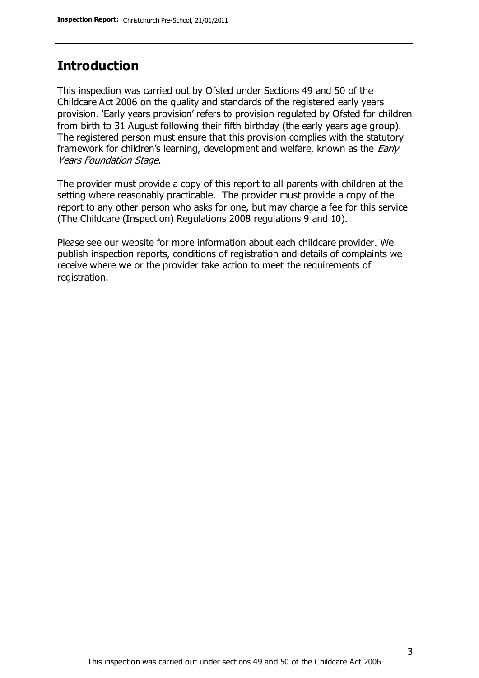#### **Introduction**

This inspection was carried out by Ofsted under Sections 49 and 50 of the Childcare Act 2006 on the quality and standards of the registered early years provision. 'Early years provision' refers to provision regulated by Ofsted for children from birth to 31 August following their fifth birthday (the early years age group). The registered person must ensure that this provision complies with the statutory framework for children's learning, development and welfare, known as the *Early* Years Foundation Stage.

The provider must provide a copy of this report to all parents with children at the setting where reasonably practicable. The provider must provide a copy of the report to any other person who asks for one, but may charge a fee for this service (The Childcare (Inspection) Regulations 2008 regulations 9 and 10).

Please see our website for more information about each childcare provider. We publish inspection reports, conditions of registration and details of complaints we receive where we or the provider take action to meet the requirements of registration.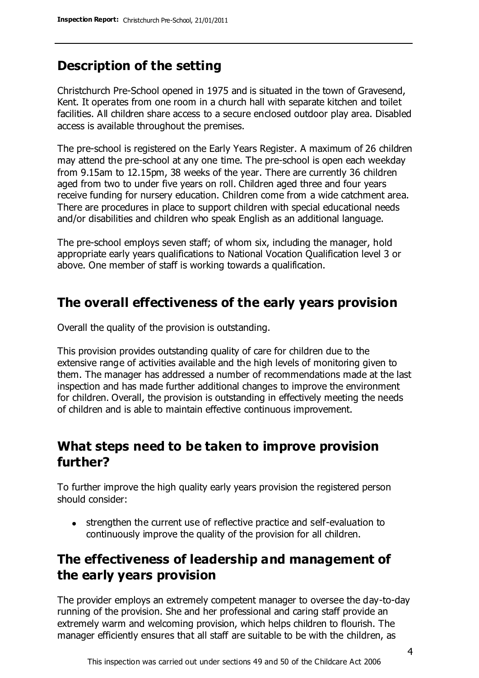## **Description of the setting**

Christchurch Pre-School opened in 1975 and is situated in the town of Gravesend, Kent. It operates from one room in a church hall with separate kitchen and toilet facilities. All children share access to a secure enclosed outdoor play area. Disabled access is available throughout the premises.

The pre-school is registered on the Early Years Register. A maximum of 26 children may attend the pre-school at any one time. The pre-school is open each weekday from 9.15am to 12.15pm, 38 weeks of the year. There are currently 36 children aged from two to under five years on roll. Children aged three and four years receive funding for nursery education. Children come from a wide catchment area. There are procedures in place to support children with special educational needs and/or disabilities and children who speak English as an additional language.

The pre-school employs seven staff; of whom six, including the manager, hold appropriate early years qualifications to National Vocation Qualification level 3 or above. One member of staff is working towards a qualification.

## **The overall effectiveness of the early years provision**

Overall the quality of the provision is outstanding.

This provision provides outstanding quality of care for children due to the extensive range of activities available and the high levels of monitoring given to them. The manager has addressed a number of recommendations made at the last inspection and has made further additional changes to improve the environment for children. Overall, the provision is outstanding in effectively meeting the needs of children and is able to maintain effective continuous improvement.

## **What steps need to be taken to improve provision further?**

To further improve the high quality early years provision the registered person should consider:

• strengthen the current use of reflective practice and self-evaluation to continuously improve the quality of the provision for all children.

## **The effectiveness of leadership and management of the early years provision**

The provider employs an extremely competent manager to oversee the day-to-day running of the provision. She and her professional and caring staff provide an extremely warm and welcoming provision, which helps children to flourish. The manager efficiently ensures that all staff are suitable to be with the children, as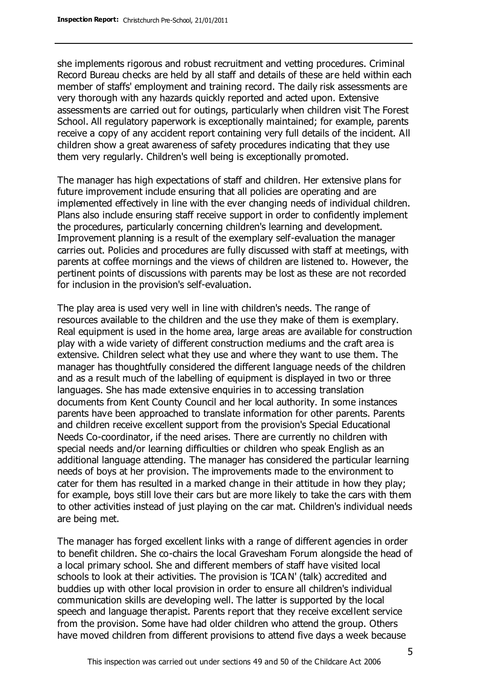she implements rigorous and robust recruitment and vetting procedures. Criminal Record Bureau checks are held by all staff and details of these are held within each member of staffs' employment and training record. The daily risk assessments are very thorough with any hazards quickly reported and acted upon. Extensive assessments are carried out for outings, particularly when children visit The Forest School. All regulatory paperwork is exceptionally maintained; for example, parents receive a copy of any accident report containing very full details of the incident. All children show a great awareness of safety procedures indicating that they use them very regularly. Children's well being is exceptionally promoted.

The manager has high expectations of staff and children. Her extensive plans for future improvement include ensuring that all policies are operating and are implemented effectively in line with the ever changing needs of individual children. Plans also include ensuring staff receive support in order to confidently implement the procedures, particularly concerning children's learning and development. Improvement planning is a result of the exemplary self-evaluation the manager carries out. Policies and procedures are fully discussed with staff at meetings, with parents at coffee mornings and the views of children are listened to. However, the pertinent points of discussions with parents may be lost as these are not recorded for inclusion in the provision's self-evaluation.

The play area is used very well in line with children's needs. The range of resources available to the children and the use they make of them is exemplary. Real equipment is used in the home area, large areas are available for construction play with a wide variety of different construction mediums and the craft area is extensive. Children select what they use and where they want to use them. The manager has thoughtfully considered the different language needs of the children and as a result much of the labelling of equipment is displayed in two or three languages. She has made extensive enquiries in to accessing translation documents from Kent County Council and her local authority. In some instances parents have been approached to translate information for other parents. Parents and children receive excellent support from the provision's Special Educational Needs Co-coordinator, if the need arises. There are currently no children with special needs and/or learning difficulties or children who speak English as an additional language attending. The manager has considered the particular learning needs of boys at her provision. The improvements made to the environment to cater for them has resulted in a marked change in their attitude in how they play; for example, boys still love their cars but are more likely to take the cars with them to other activities instead of just playing on the car mat. Children's individual needs are being met.

The manager has forged excellent links with a range of different agencies in order to benefit children. She co-chairs the local Gravesham Forum alongside the head of a local primary school. She and different members of staff have visited local schools to look at their activities. The provision is 'ICAN' (talk) accredited and buddies up with other local provision in order to ensure all children's individual communication skills are developing well. The latter is supported by the local speech and language therapist. Parents report that they receive excellent service from the provision. Some have had older children who attend the group. Others have moved children from different provisions to attend five days a week because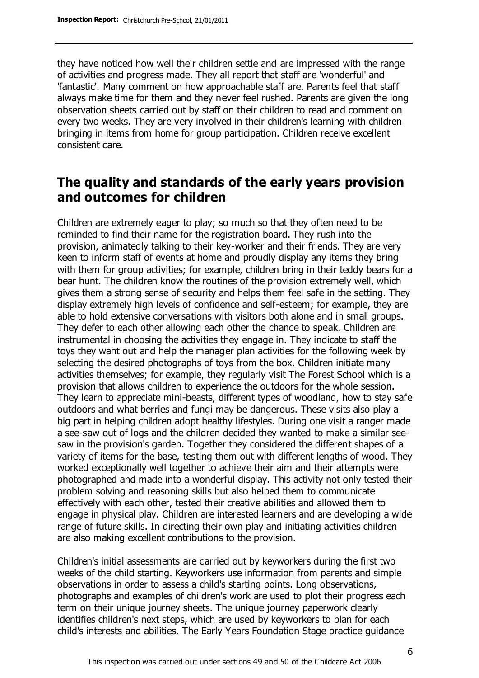they have noticed how well their children settle and are impressed with the range of activities and progress made. They all report that staff are 'wonderful' and 'fantastic'. Many comment on how approachable staff are. Parents feel that staff always make time for them and they never feel rushed. Parents are given the long observation sheets carried out by staff on their children to read and comment on every two weeks. They are very involved in their children's learning with children bringing in items from home for group participation. Children receive excellent consistent care.

### **The quality and standards of the early years provision and outcomes for children**

Children are extremely eager to play; so much so that they often need to be reminded to find their name for the registration board. They rush into the provision, animatedly talking to their key-worker and their friends. They are very keen to inform staff of events at home and proudly display any items they bring with them for group activities; for example, children bring in their teddy bears for a bear hunt. The children know the routines of the provision extremely well, which gives them a strong sense of security and helps them feel safe in the setting. They display extremely high levels of confidence and self-esteem; for example, they are able to hold extensive conversations with visitors both alone and in small groups. They defer to each other allowing each other the chance to speak. Children are instrumental in choosing the activities they engage in. They indicate to staff the toys they want out and help the manager plan activities for the following week by selecting the desired photographs of toys from the box. Children initiate many activities themselves; for example, they regularly visit The Forest School which is a provision that allows children to experience the outdoors for the whole session. They learn to appreciate mini-beasts, different types of woodland, how to stay safe outdoors and what berries and fungi may be dangerous. These visits also play a big part in helping children adopt healthy lifestyles. During one visit a ranger made a see-saw out of logs and the children decided they wanted to make a similar seesaw in the provision's garden. Together they considered the different shapes of a variety of items for the base, testing them out with different lengths of wood. They worked exceptionally well together to achieve their aim and their attempts were photographed and made into a wonderful display. This activity not only tested their problem solving and reasoning skills but also helped them to communicate effectively with each other, tested their creative abilities and allowed them to engage in physical play. Children are interested learners and are developing a wide range of future skills. In directing their own play and initiating activities children are also making excellent contributions to the provision.

Children's initial assessments are carried out by keyworkers during the first two weeks of the child starting. Keyworkers use information from parents and simple observations in order to assess a child's starting points. Long observations, photographs and examples of children's work are used to plot their progress each term on their unique journey sheets. The unique journey paperwork clearly identifies children's next steps, which are used by keyworkers to plan for each child's interests and abilities. The Early Years Foundation Stage practice guidance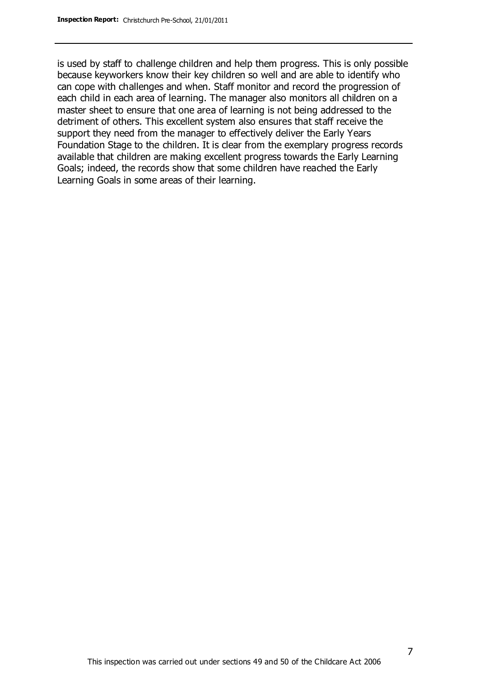is used by staff to challenge children and help them progress. This is only possible because keyworkers know their key children so well and are able to identify who can cope with challenges and when. Staff monitor and record the progression of each child in each area of learning. The manager also monitors all children on a master sheet to ensure that one area of learning is not being addressed to the detriment of others. This excellent system also ensures that staff receive the support they need from the manager to effectively deliver the Early Years Foundation Stage to the children. It is clear from the exemplary progress records available that children are making excellent progress towards the Early Learning Goals; indeed, the records show that some children have reached the Early Learning Goals in some areas of their learning.